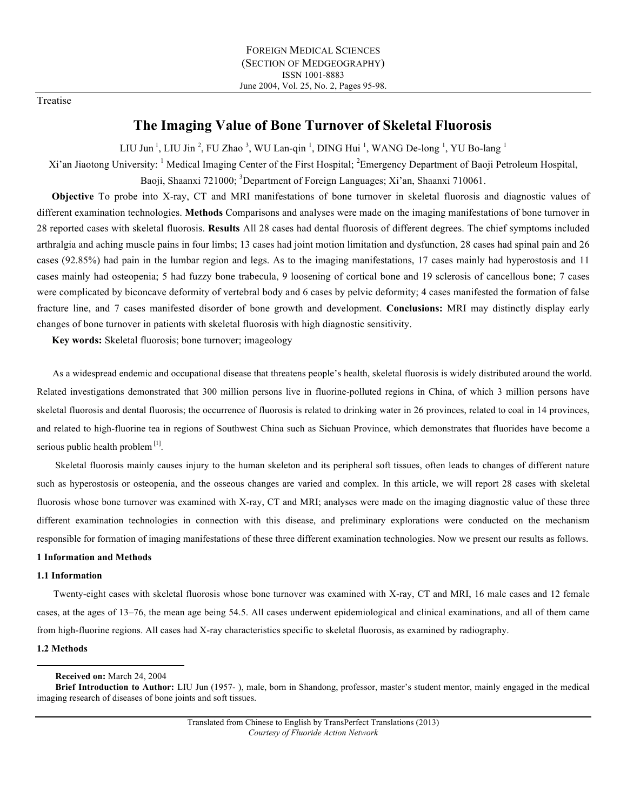# Treatise

# **The Imaging Value of Bone Turnover of Skeletal Fluorosis**

LIU Jun<sup>1</sup>, LIU Jin<sup>2</sup>, FU Zhao<sup>3</sup>, WU Lan-qin<sup>1</sup>, DING Hui<sup>1</sup>, WANG De-long<sup>1</sup>, YU Bo-lang<sup>1</sup>

Xi'an Jiaotong University: <sup>1</sup> Medical Imaging Center of the First Hospital; <sup>2</sup>Emergency Department of Baoji Petroleum Hospital, Baoji, Shaanxi 721000; <sup>3</sup>Department of Foreign Languages; Xi'an, Shaanxi 710061.

**Objective** To probe into X-ray, CT and MRI manifestations of bone turnover in skeletal fluorosis and diagnostic values of different examination technologies. **Methods** Comparisons and analyses were made on the imaging manifestations of bone turnover in 28 reported cases with skeletal fluorosis. **Results** All 28 cases had dental fluorosis of different degrees. The chief symptoms included arthralgia and aching muscle pains in four limbs; 13 cases had joint motion limitation and dysfunction, 28 cases had spinal pain and 26 cases (92.85%) had pain in the lumbar region and legs. As to the imaging manifestations, 17 cases mainly had hyperostosis and 11 cases mainly had osteopenia; 5 had fuzzy bone trabecula, 9 loosening of cortical bone and 19 sclerosis of cancellous bone; 7 cases were complicated by biconcave deformity of vertebral body and 6 cases by pelvic deformity; 4 cases manifested the formation of false fracture line, and 7 cases manifested disorder of bone growth and development. **Conclusions:** MRI may distinctly display early changes of bone turnover in patients with skeletal fluorosis with high diagnostic sensitivity.

**Key words:** Skeletal fluorosis; bone turnover; imageology

As a widespread endemic and occupational disease that threatens people's health, skeletal fluorosis is widely distributed around the world. Related investigations demonstrated that 300 million persons live in fluorine-polluted regions in China, of which 3 million persons have skeletal fluorosis and dental fluorosis; the occurrence of fluorosis is related to drinking water in 26 provinces, related to coal in 14 provinces, and related to high-fluorine tea in regions of Southwest China such as Sichuan Province, which demonstrates that fluorides have become a serious public health problem<sup>[1]</sup>.

Skeletal fluorosis mainly causes injury to the human skeleton and its peripheral soft tissues, often leads to changes of different nature such as hyperostosis or osteopenia, and the osseous changes are varied and complex. In this article, we will report 28 cases with skeletal fluorosis whose bone turnover was examined with X-ray, CT and MRI; analyses were made on the imaging diagnostic value of these three different examination technologies in connection with this disease, and preliminary explorations were conducted on the mechanism responsible for formation of imaging manifestations of these three different examination technologies. Now we present our results as follows.

# **1 Information and Methods**

## **1.1 Information**

Twenty-eight cases with skeletal fluorosis whose bone turnover was examined with X-ray, CT and MRI, 16 male cases and 12 female cases, at the ages of 13–76, the mean age being 54.5. All cases underwent epidemiological and clinical examinations, and all of them came from high-fluorine regions. All cases had X-ray characteristics specific to skeletal fluorosis, as examined by radiography.

## **1.2 Methods**

 **Received on:** March 24, 2004

**Brief Introduction to Author:** LIU Jun (1957- ), male, born in Shandong, professor, master's student mentor, mainly engaged in the medical imaging research of diseases of bone joints and soft tissues.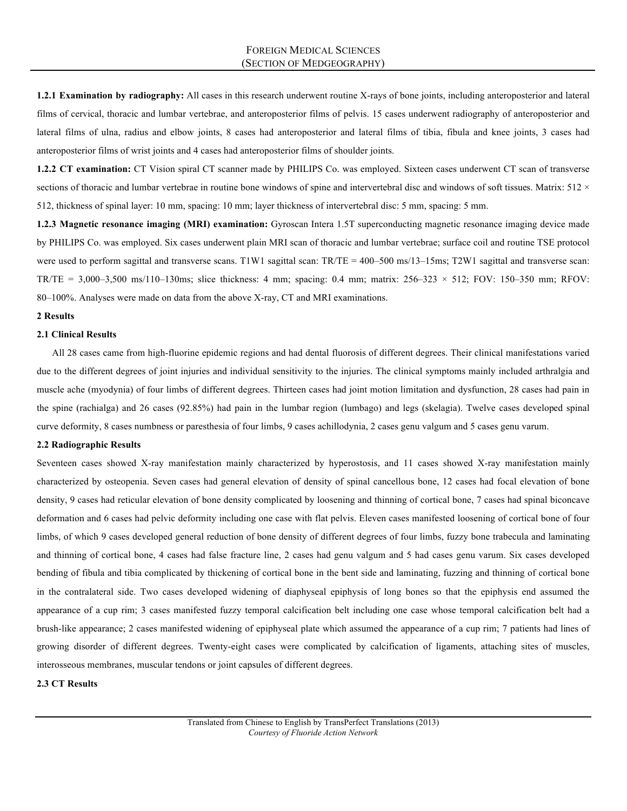**1.2.1 Examination by radiography:** All cases in this research underwent routine X-rays of bone joints, including anteroposterior and lateral films of cervical, thoracic and lumbar vertebrae, and anteroposterior films of pelvis. 15 cases underwent radiography of anteroposterior and lateral films of ulna, radius and elbow joints, 8 cases had anteroposterior and lateral films of tibia, fibula and knee joints, 3 cases had anteroposterior films of wrist joints and 4 cases had anteroposterior films of shoulder joints.

**1.2.2 CT examination:** CT Vision spiral CT scanner made by PHILIPS Co. was employed. Sixteen cases underwent CT scan of transverse sections of thoracic and lumbar vertebrae in routine bone windows of spine and intervertebral disc and windows of soft tissues. Matrix:  $512 \times$ 512, thickness of spinal layer: 10 mm, spacing: 10 mm; layer thickness of intervertebral disc: 5 mm, spacing: 5 mm.

**1.2.3 Magnetic resonance imaging (MRI) examination:** Gyroscan Intera 1.5T superconducting magnetic resonance imaging device made by PHILIPS Co. was employed. Six cases underwent plain MRI scan of thoracic and lumbar vertebrae; surface coil and routine TSE protocol were used to perform sagittal and transverse scans. T1W1 sagittal scan: TR/TE = 400–500 ms/13–15ms; T2W1 sagittal and transverse scan: TR/TE = 3,000–3,500 ms/110–130ms; slice thickness: 4 mm; spacing: 0.4 mm; matrix:  $256-323 \times 512$ ; FOV: 150–350 mm; RFOV: 80–100%. Analyses were made on data from the above X-ray, CT and MRI examinations.

### **2 Results**

### **2.1 Clinical Results**

All 28 cases came from high-fluorine epidemic regions and had dental fluorosis of different degrees. Their clinical manifestations varied due to the different degrees of joint injuries and individual sensitivity to the injuries. The clinical symptoms mainly included arthralgia and muscle ache (myodynia) of four limbs of different degrees. Thirteen cases had joint motion limitation and dysfunction, 28 cases had pain in the spine (rachialga) and 26 cases (92.85%) had pain in the lumbar region (lumbago) and legs (skelagia). Twelve cases developed spinal curve deformity, 8 cases numbness or paresthesia of four limbs, 9 cases achillodynia, 2 cases genu valgum and 5 cases genu varum.

### **2.2 Radiographic Results**

Seventeen cases showed X-ray manifestation mainly characterized by hyperostosis, and 11 cases showed X-ray manifestation mainly characterized by osteopenia. Seven cases had general elevation of density of spinal cancellous bone, 12 cases had focal elevation of bone density, 9 cases had reticular elevation of bone density complicated by loosening and thinning of cortical bone, 7 cases had spinal biconcave deformation and 6 cases had pelvic deformity including one case with flat pelvis. Eleven cases manifested loosening of cortical bone of four limbs, of which 9 cases developed general reduction of bone density of different degrees of four limbs, fuzzy bone trabecula and laminating and thinning of cortical bone, 4 cases had false fracture line, 2 cases had genu valgum and 5 had cases genu varum. Six cases developed bending of fibula and tibia complicated by thickening of cortical bone in the bent side and laminating, fuzzing and thinning of cortical bone in the contralateral side. Two cases developed widening of diaphyseal epiphysis of long bones so that the epiphysis end assumed the appearance of a cup rim; 3 cases manifested fuzzy temporal calcification belt including one case whose temporal calcification belt had a brush-like appearance; 2 cases manifested widening of epiphyseal plate which assumed the appearance of a cup rim; 7 patients had lines of growing disorder of different degrees. Twenty-eight cases were complicated by calcification of ligaments, attaching sites of muscles, interosseous membranes, muscular tendons or joint capsules of different degrees.

### **2.3 CT Results**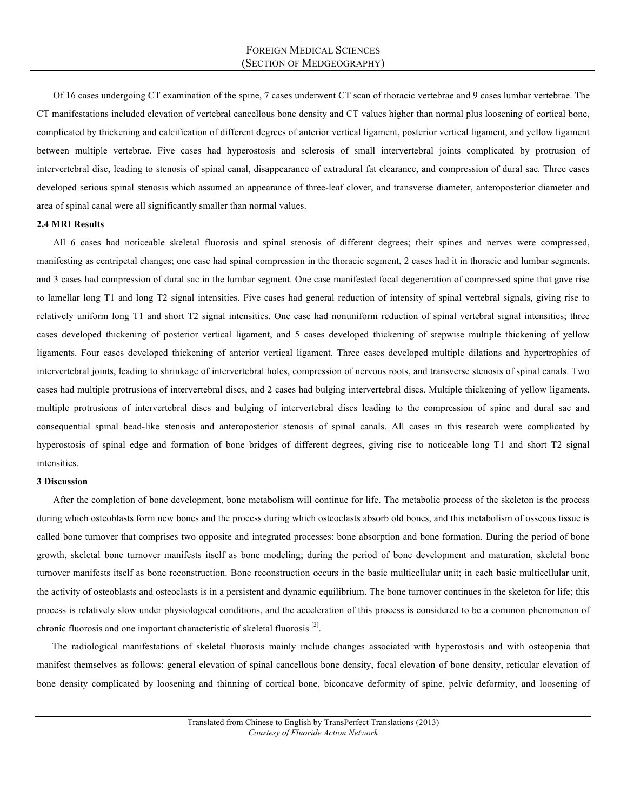Of 16 cases undergoing CT examination of the spine, 7 cases underwent CT scan of thoracic vertebrae and 9 cases lumbar vertebrae. The CT manifestations included elevation of vertebral cancellous bone density and CT values higher than normal plus loosening of cortical bone, complicated by thickening and calcification of different degrees of anterior vertical ligament, posterior vertical ligament, and yellow ligament between multiple vertebrae. Five cases had hyperostosis and sclerosis of small intervertebral joints complicated by protrusion of intervertebral disc, leading to stenosis of spinal canal, disappearance of extradural fat clearance, and compression of dural sac. Three cases developed serious spinal stenosis which assumed an appearance of three-leaf clover, and transverse diameter, anteroposterior diameter and area of spinal canal were all significantly smaller than normal values.

## **2.4 MRI Results**

All 6 cases had noticeable skeletal fluorosis and spinal stenosis of different degrees; their spines and nerves were compressed, manifesting as centripetal changes; one case had spinal compression in the thoracic segment, 2 cases had it in thoracic and lumbar segments, and 3 cases had compression of dural sac in the lumbar segment. One case manifested focal degeneration of compressed spine that gave rise to lamellar long T1 and long T2 signal intensities. Five cases had general reduction of intensity of spinal vertebral signals, giving rise to relatively uniform long T1 and short T2 signal intensities. One case had nonuniform reduction of spinal vertebral signal intensities; three cases developed thickening of posterior vertical ligament, and 5 cases developed thickening of stepwise multiple thickening of yellow ligaments. Four cases developed thickening of anterior vertical ligament. Three cases developed multiple dilations and hypertrophies of intervertebral joints, leading to shrinkage of intervertebral holes, compression of nervous roots, and transverse stenosis of spinal canals. Two cases had multiple protrusions of intervertebral discs, and 2 cases had bulging intervertebral discs. Multiple thickening of yellow ligaments, multiple protrusions of intervertebral discs and bulging of intervertebral discs leading to the compression of spine and dural sac and consequential spinal bead-like stenosis and anteroposterior stenosis of spinal canals. All cases in this research were complicated by hyperostosis of spinal edge and formation of bone bridges of different degrees, giving rise to noticeable long T1 and short T2 signal intensities.

#### **3 Discussion**

After the completion of bone development, bone metabolism will continue for life. The metabolic process of the skeleton is the process during which osteoblasts form new bones and the process during which osteoclasts absorb old bones, and this metabolism of osseous tissue is called bone turnover that comprises two opposite and integrated processes: bone absorption and bone formation. During the period of bone growth, skeletal bone turnover manifests itself as bone modeling; during the period of bone development and maturation, skeletal bone turnover manifests itself as bone reconstruction. Bone reconstruction occurs in the basic multicellular unit; in each basic multicellular unit, the activity of osteoblasts and osteoclasts is in a persistent and dynamic equilibrium. The bone turnover continues in the skeleton for life; this process is relatively slow under physiological conditions, and the acceleration of this process is considered to be a common phenomenon of chronic fluorosis and one important characteristic of skeletal fluorosis [2].

The radiological manifestations of skeletal fluorosis mainly include changes associated with hyperostosis and with osteopenia that manifest themselves as follows: general elevation of spinal cancellous bone density, focal elevation of bone density, reticular elevation of bone density complicated by loosening and thinning of cortical bone, biconcave deformity of spine, pelvic deformity, and loosening of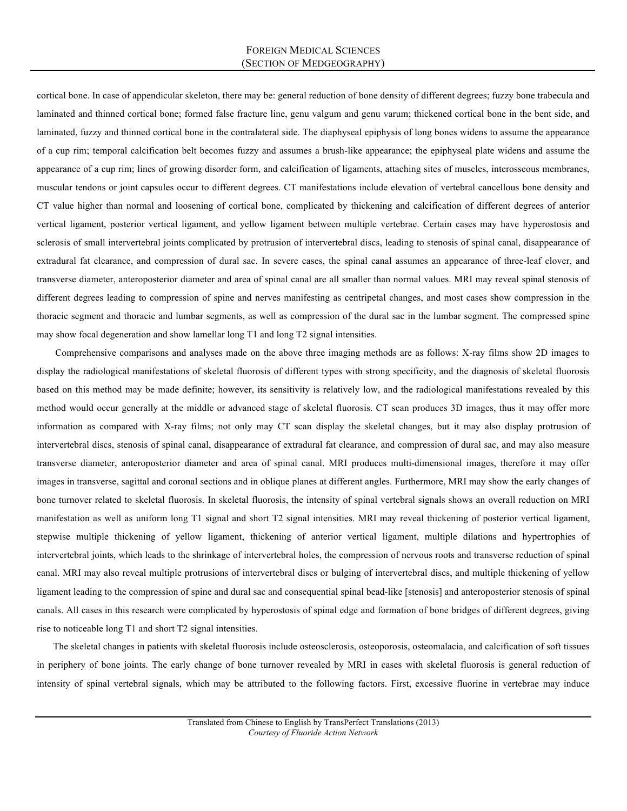cortical bone. In case of appendicular skeleton, there may be: general reduction of bone density of different degrees; fuzzy bone trabecula and laminated and thinned cortical bone; formed false fracture line, genu valgum and genu varum; thickened cortical bone in the bent side, and laminated, fuzzy and thinned cortical bone in the contralateral side. The diaphyseal epiphysis of long bones widens to assume the appearance of a cup rim; temporal calcification belt becomes fuzzy and assumes a brush-like appearance; the epiphyseal plate widens and assume the appearance of a cup rim; lines of growing disorder form, and calcification of ligaments, attaching sites of muscles, interosseous membranes, muscular tendons or joint capsules occur to different degrees. CT manifestations include elevation of vertebral cancellous bone density and CT value higher than normal and loosening of cortical bone, complicated by thickening and calcification of different degrees of anterior vertical ligament, posterior vertical ligament, and yellow ligament between multiple vertebrae. Certain cases may have hyperostosis and sclerosis of small intervertebral joints complicated by protrusion of intervertebral discs, leading to stenosis of spinal canal, disappearance of extradural fat clearance, and compression of dural sac. In severe cases, the spinal canal assumes an appearance of three-leaf clover, and transverse diameter, anteroposterior diameter and area of spinal canal are all smaller than normal values. MRI may reveal spinal stenosis of different degrees leading to compression of spine and nerves manifesting as centripetal changes, and most cases show compression in the thoracic segment and thoracic and lumbar segments, as well as compression of the dural sac in the lumbar segment. The compressed spine may show focal degeneration and show lamellar long T1 and long T2 signal intensities.

Comprehensive comparisons and analyses made on the above three imaging methods are as follows: X-ray films show 2D images to display the radiological manifestations of skeletal fluorosis of different types with strong specificity, and the diagnosis of skeletal fluorosis based on this method may be made definite; however, its sensitivity is relatively low, and the radiological manifestations revealed by this method would occur generally at the middle or advanced stage of skeletal fluorosis. CT scan produces 3D images, thus it may offer more information as compared with X-ray films; not only may CT scan display the skeletal changes, but it may also display protrusion of intervertebral discs, stenosis of spinal canal, disappearance of extradural fat clearance, and compression of dural sac, and may also measure transverse diameter, anteroposterior diameter and area of spinal canal. MRI produces multi-dimensional images, therefore it may offer images in transverse, sagittal and coronal sections and in oblique planes at different angles. Furthermore, MRI may show the early changes of bone turnover related to skeletal fluorosis. In skeletal fluorosis, the intensity of spinal vertebral signals shows an overall reduction on MRI manifestation as well as uniform long T1 signal and short T2 signal intensities. MRI may reveal thickening of posterior vertical ligament, stepwise multiple thickening of yellow ligament, thickening of anterior vertical ligament, multiple dilations and hypertrophies of intervertebral joints, which leads to the shrinkage of intervertebral holes, the compression of nervous roots and transverse reduction of spinal canal. MRI may also reveal multiple protrusions of intervertebral discs or bulging of intervertebral discs, and multiple thickening of yellow ligament leading to the compression of spine and dural sac and consequential spinal bead-like [stenosis] and anteroposterior stenosis of spinal canals. All cases in this research were complicated by hyperostosis of spinal edge and formation of bone bridges of different degrees, giving rise to noticeable long T1 and short T2 signal intensities.

The skeletal changes in patients with skeletal fluorosis include osteosclerosis, osteoporosis, osteomalacia, and calcification of soft tissues in periphery of bone joints. The early change of bone turnover revealed by MRI in cases with skeletal fluorosis is general reduction of intensity of spinal vertebral signals, which may be attributed to the following factors. First, excessive fluorine in vertebrae may induce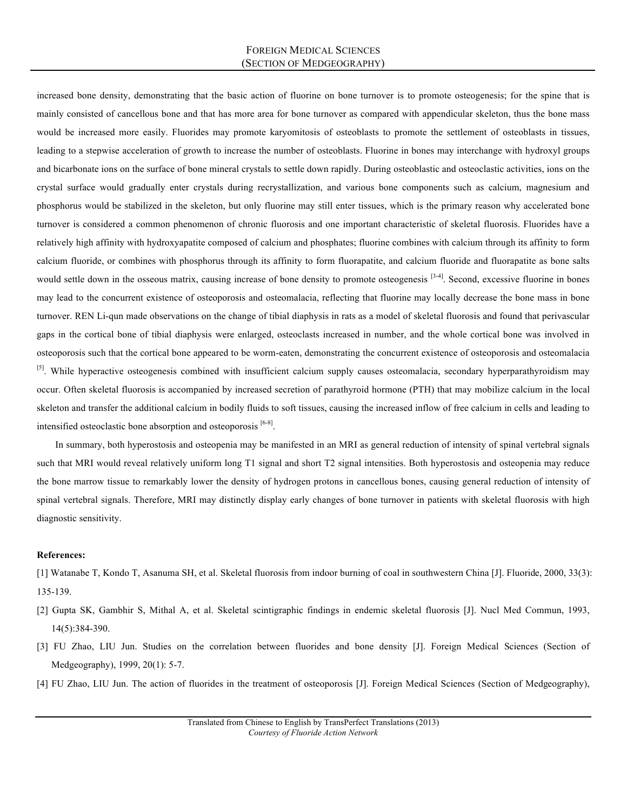increased bone density, demonstrating that the basic action of fluorine on bone turnover is to promote osteogenesis; for the spine that is mainly consisted of cancellous bone and that has more area for bone turnover as compared with appendicular skeleton, thus the bone mass would be increased more easily. Fluorides may promote karyomitosis of osteoblasts to promote the settlement of osteoblasts in tissues, leading to a stepwise acceleration of growth to increase the number of osteoblasts. Fluorine in bones may interchange with hydroxyl groups and bicarbonate ions on the surface of bone mineral crystals to settle down rapidly. During osteoblastic and osteoclastic activities, ions on the crystal surface would gradually enter crystals during recrystallization, and various bone components such as calcium, magnesium and phosphorus would be stabilized in the skeleton, but only fluorine may still enter tissues, which is the primary reason why accelerated bone turnover is considered a common phenomenon of chronic fluorosis and one important characteristic of skeletal fluorosis. Fluorides have a relatively high affinity with hydroxyapatite composed of calcium and phosphates; fluorine combines with calcium through its affinity to form calcium fluoride, or combines with phosphorus through its affinity to form fluorapatite, and calcium fluoride and fluorapatite as bone salts would settle down in the osseous matrix, causing increase of bone density to promote osteogenesis [3-4]. Second, excessive fluorine in bones may lead to the concurrent existence of osteoporosis and osteomalacia, reflecting that fluorine may locally decrease the bone mass in bone turnover. REN Li-qun made observations on the change of tibial diaphysis in rats as a model of skeletal fluorosis and found that perivascular gaps in the cortical bone of tibial diaphysis were enlarged, osteoclasts increased in number, and the whole cortical bone was involved in osteoporosis such that the cortical bone appeared to be worm-eaten, demonstrating the concurrent existence of osteoporosis and osteomalacia <sup>[5]</sup>. While hyperactive osteogenesis combined with insufficient calcium supply causes osteomalacia, secondary hyperparathyroidism may occur. Often skeletal fluorosis is accompanied by increased secretion of parathyroid hormone (PTH) that may mobilize calcium in the local skeleton and transfer the additional calcium in bodily fluids to soft tissues, causing the increased inflow of free calcium in cells and leading to intensified osteoclastic bone absorption and osteoporosis [6-8].

In summary, both hyperostosis and osteopenia may be manifested in an MRI as general reduction of intensity of spinal vertebral signals such that MRI would reveal relatively uniform long T1 signal and short T2 signal intensities. Both hyperostosis and osteopenia may reduce the bone marrow tissue to remarkably lower the density of hydrogen protons in cancellous bones, causing general reduction of intensity of spinal vertebral signals. Therefore, MRI may distinctly display early changes of bone turnover in patients with skeletal fluorosis with high diagnostic sensitivity.

# **References:**

[1] Watanabe T, Kondo T, Asanuma SH, et al. Skeletal fluorosis from indoor burning of coal in southwestern China [J]. Fluoride, 2000, 33(3): 135-139.

- [2] Gupta SK, Gambhir S, Mithal A, et al. Skeletal scintigraphic findings in endemic skeletal fluorosis [J]. Nucl Med Commun, 1993, 14(5):384-390.
- [3] FU Zhao, LIU Jun. Studies on the correlation between fluorides and bone density [J]. Foreign Medical Sciences (Section of Medgeography), 1999, 20(1): 5-7.
- [4] FU Zhao, LIU Jun. The action of fluorides in the treatment of osteoporosis [J]. Foreign Medical Sciences (Section of Medgeography),